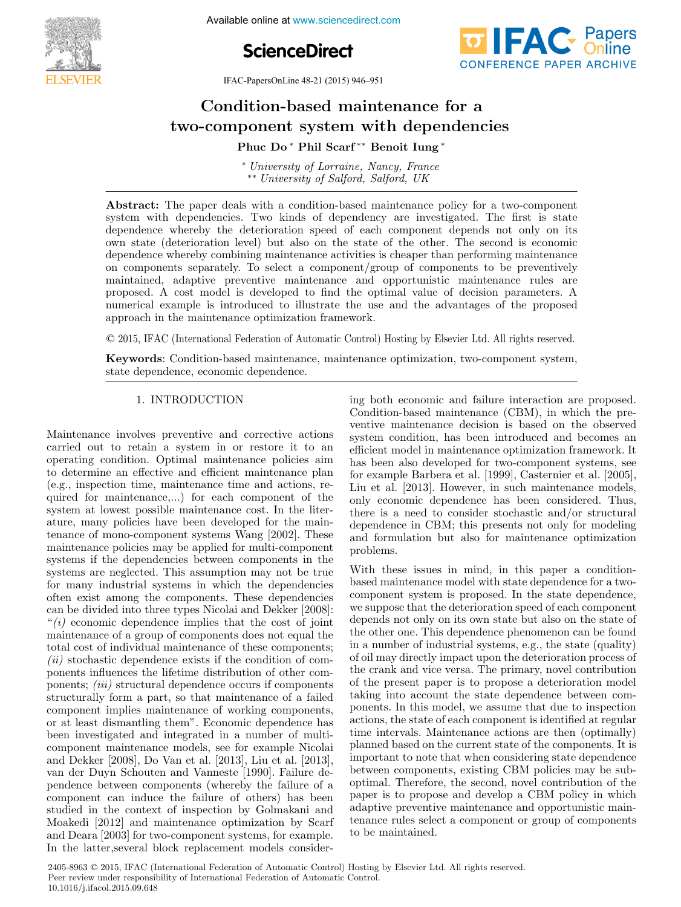

Available online at www.sciencedirect.com





IFAC-PapersOnLine  $48-21$  (2015) 946–951  $\frac{1}{2}$  Condition-based matrix for a set  $\frac{1}{2}$ 

#### Condition-based maintenance for a two-component system with dependencies Phuc Do <sup>∗</sup> Phil Scarf ∗∗ Benoit Iung <sup>∗</sup> Ponent system with aeper Phuc Do <sup>∗</sup> Phil Scarf ∗∗ Benoit Iung <sup>∗</sup> Phuc Do <sup>∗</sup> Phil Scarf ∗∗ Benoit Iung <sup>∗</sup> Condition-based maintenance for a two-component system with dependencies Condition-based maintenance for a two-component system with dependencies

<sup>∗</sup> University of Lorraine, Nancy, France ∗∗ University of Salford, Salford, UK ∗∗ University of Salford, Salford, UK <sup>∗</sup> University of Lorraine, Nancy, France  $\frac{1}{2}$  University of Salford, Salford, Salford, Salford, Salford, UK <sup>∗</sup> University of Lorraine, Nancy, France <sup>∗</sup> University of Lorraine, Nancy, France ∗∗ University of Salford, Salford, UK Phil Phil Scarf ∗∗ Phil Scarf ∗∗ Benoit Iung ∗∗ Benoit Iung ∗∗ Benoit Iung ∗∗ Benoit Iung ∗∗ Benoit Iung ∗∗ Benoit Iung ∗

Abstract: The paper deals with a condition-based maintenance policy for a two-component<br>system with dependencies. Two kinds of dependency are investigated. The first is state dependence whereby the deterioration speed of each component depends not only on its dependence whereby the deterioration speed of each component depends not only on its<br>own state (deterioration level) but also on the state of the other. The second is economic dependence whereby combining maintenance activities is cheaper than performing maintenance on components separately. To select a component/group of components to be preventively on components separately. To select a component/group of components to be preventively<br>maintained, adaptive preventive maintenance and opportunistic maintenance rules are proposed. A cost model is developed to find the optimal value of decision parameters. A numerical example is introduced to illustrate the use and the advantages of the proposed approach in the maintenance optimization framework. Abstract: The paper deals with a condition-based maintenance policy for a two-component dependence whereby combining maintenance activities is cheaper than performing maintenance proposed. A cost model is developed to find the optimal value of decision parameters. A  $\frac{1}{2}$  University of Salford, Salford, Salford, Salford, Salford, Salford, Salford, Salford, Salford, UK numerical example is introduced to illustrate the use and the advantages of the proposed the proposed the proposed the proposed the proposed the proposed the proposed the proposed the proposed the proposed the proposed th

 $\odot$  2015, IFAC (International Federation of Automatic Control) Hosting by Elsevier Ltd. All rights reserved.  $\alpha$  $\odot$  2015, IFAC (International Federation of Automatic Control

Keywords: Condition-based maintenance, maintenance optimization, two-component system, state dependence, economic dependence. state dependence, economic dependence. Keywords: Condition-based maintenance, maintenance optimization, two-component system, **Keywords:** Condition-based maintenance, maintenance optimization, two-component system, state dependence, economic dependence.

#### 1. INTRODUCTION 1. INTRODUCTION 1. INTRODUCTION 1. INTRODUCTION 1. INTRODUCTION

Maintenance involves preventive and corrective actions carried out to retain a system in or restore it to an carried out to retain a system in or restore it to an operating condition. Optimal maintenance poncies annual to determine an enective and enclent maintenance plan<br>(e.g., inspection time, maintenance time and actions, re-(e.g., inspection time, maintenance time and actions, re-<br>quired for maintenance,...) for each component of the system at lowest possible maintenance cost. In the litersystem at lowest possible maintenance cost. In the inter-<br>ature, many policies have been developed for the mainature, many policies nave been developed for the main-<br>tenance of mono-component systems Wang [2002]. These tenance of mono-component systems wang  $[2002]$ . These maintenance policies may be applied for multi-component maintenance policies may be applied for multi-components systems if the dependencies between components in the systems in the dependencies between components in the systems are neglected. This assumption may not be true tenance of mono-component systems Wang [2002]. These<br>maintenance policies may be applied for multi-component<br>systems if the dependencies between components in the<br>systems are neglected. This assumption may not be true<br>for for many industrial systems in which the dependencies<br>often exist among the components. These dependencies often exist allong the components. These dependencies<br>can be divided into three types Nicolai and Dekker [2008]: can be divided into three types Nicolai and DeKKer [2006].<br>"(i) economic dependence implies that the cost of joint  $(t)$  economic dependence implies that the cost of joint<br>maintenance of a group of components does not equal the maintenance or a group or components does not equal the<br>total cost of individual maintenance of these components;  $(iii)$  stochastic dependence exists if the condition of com-(*u*) stochastic dependence exists if the condition of components influences the lifetime distribution of other components; *(iii)* structural dependence occurs if components ponents, *(tu)* structural dependence occurs if components<br>structurally form a part, so that maintenance of a failed component implies maintenance of working components, or at least dismantling them". Economic dependence has or at least dismantling them". Economic dependence has component implies maintenance of working components, component implies maintenance of working components,<br>or at least dismantling them". Economic dependence has or at least dismanting them. Economic dependence has<br>been investigated and integrated in a number of multibeen investigated and integrated in a number of mutu-<br>component maintenance models, see for example Nicolai component maintenance models, see for example Nicolain<br>and Dekker [2008], Do Van et al. [2013], Liu et al. [2013], and Dekker [2006], Do Van et al. [2015], Liu et al. [2015],<br>van der Duyn Schouten and Vanneste [1990]. Failure decomponents (whereby the failure of a component can induce the failure of others) has been<br>studied in the context of inspection by Golmakani and component can induce the failure of others) has been<br>studied in the context of inspection by Golmakani and studied in the context of inspection by Goimakani and<br>Moakedi [2012] and maintenance optimization by Scarf<br>and Deara [2003] for two-component systems for example  $\frac{1}{2012}$  and maintenance optimization by Scarf and Deara  $\left[2003\right]$  for two-component systems, for example. In the latter,several block replacement models consider-In the latter,several block replacement models consider-and Deara [2003] for two-component systems, for example. Maintenance involves preventive and corrective actions systems are neglected. This assumption may not be true structurally form a part, so that maintenance or a failed van der Duyn Schouten and Vanneste [1990]. Failure dependence between components (whereby the failure of a In the latter,several block replacement models considering both economic and failure interaction are proposed. mg both economic and fantie interaction are proposed.<br>Condition-based maintenance (CBM), in which the pre-Condition-based maintenance (CDM), in which the pre-<br>ventive maintenance decision is based on the observed<br>system condition has been introduced and becomes an ventive maintenance decision is based on the observed<br>system condition, has been introduced and becomes an efficient model in maintenance optimization framework. It<br>has been also developed for two-component systems see has been also developed for two-component systems, see rias been also developed for two-component systems, see<br>for example Barbera et al. [1999], Casternier et al. [2005],<br>Liu et al. [2013]. However, in such maintenance models for example Barbera et al. [1999], Casternier et al. [2005],<br>Liu et al. [2013]. However, in such maintenance models, Lid et al. [2015]. However, in such maintenance models,<br>only economic dependence has been considered. Thus, there is a need to consider stochastic and/or structural there is a need to consider stochastic and/or structural dependence in CBM; this presents not only for modeling and formulation but also for maintenance optimization problems. problems. and formulation but also for maintenance optimization problems. problems.  $\mu$ robiems. ing both economic and failure interaction are proposed. only economic dependence has been considered. Thus, dependence in CBM; this presents not only for modeling and formulation but also for maintenance optimization problems.

ing both economic and failure interaction are proposed.

parameters.<br>With these issues in mind, in this paper a conditionbased maintenance model with state dependence for a twobased maintenance model with state dependence for a two-<br>component system is proposed. In the state dependence, component system is proposed. In the state dependence,<br>we suppose that the deterioration speed of each component we suppose that the deterioration speed of each component<br>depends not only on its own state but also on the state of depends not only on its own state but also on the state of<br>the other one. This dependence phenomenon can be found in a number of industrial systems, e.g., the state (quality) In a number of muastrial systems, e.g., the state (quality)<br>of oil may directly impact upon the deterioration process of of on may directly impact upon the deterioration process of<br>the crank and vice versa. The primary, novel contribution the state dependence between components of the present paper is to propose a deterioration model of the present paper is to propose a determination model<br>taking into account the state dependence between comcaking mto account the state dependence between components. In this model, we assume that due to inspection<br>actions, the state of each component is identified at regular actions, the state of each component is defitined at regular<br>time intervals. Maintenance actions are then (optimally) ractions, the state of each component is identified at regular<br>time intervals. Maintenance actions are then (optimally)<br>planned based on the current state of the components. It is<br>important to note that when considering st planned based on the current state of the components. It is<br>important to note that when considering state dependence important to note that when considering state dependence<br>between components, existing CBM policies may be subpaper is to propose a CBM policies in which which is to propose and optimal. Therefore, the second, novel contribution of the optimal. Therefore, the second, novel contribution of the<br>paper is to propose and develop a CBM policy in which adaptive preventive maintenance and opportunistic main-tenance rules select a component or group of components tenance rules select a component or group of components adaptive preventive maintenance and opportunistic mainadaptive preventive maintenance and opportunistic main-<br>tenance rules select a component or group of components to be maintained. to be maintained. With these issues in mind, in this paper a conditionthe crank and vice versa. The primary, novel contribution time intervals. Maintenance actions are then (optimally) between components, existing CBM policies may be subpaper is to propose and develop a CBM policy in which tenance rules select a component or group of components to be maintained.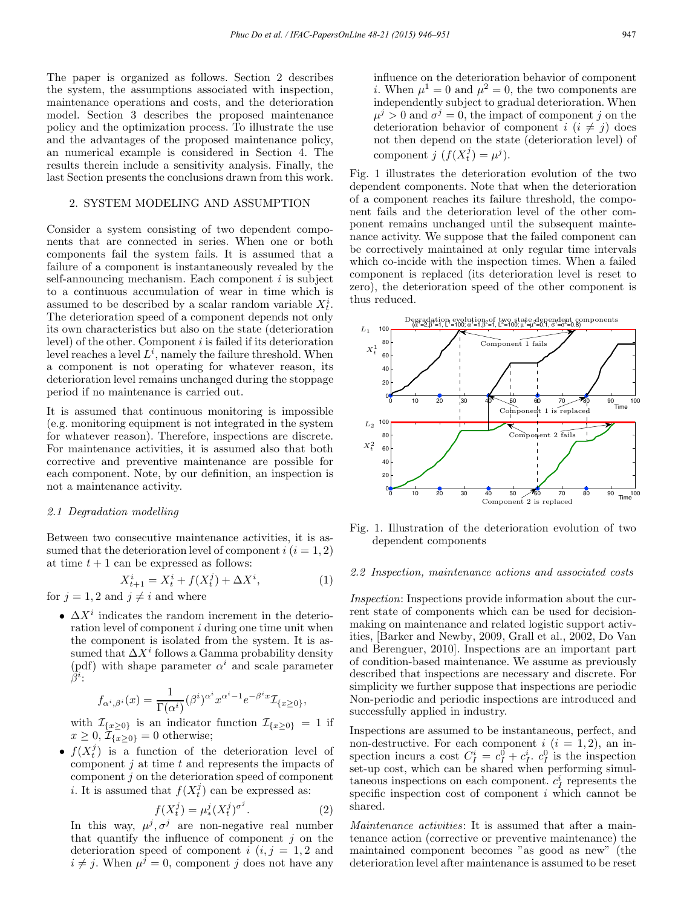The paper is organized as follows. Section 2 describes the system, the assumptions associated with inspection, maintenance operations and costs, and the deterioration model. Section 3 describes the proposed maintenance policy and the optimization process. To illustrate the use and the advantages of the proposed maintenance policy, an numerical example is considered in Section 4. The results therein include a sensitivity analysis. Finally, the last Section presents the conclusions drawn from this work.

# 2. SYSTEM MODELING AND ASSUMPTION

Consider a system consisting of two dependent components that are connected in series. When one or both components fail the system fails. It is assumed that a failure of a component is instantaneously revealed by the self-announcing mechanism. Each component  $i$  is subject to a continuous accumulation of wear in time which is assumed to be described by a scalar random variable  $X_t^i$ . The deterioration speed of a component depends not only its own characteristics but also on the state (deterioration level) of the other. Component  $i$  is failed if its deterioration level reaches a level  $L^i$ , namely the failure threshold. When a component is not operating for whatever reason, its deterioration level remains unchanged during the stoppage period if no maintenance is carried out.

It is assumed that continuous monitoring is impossible (e.g. monitoring equipment is not integrated in the system for whatever reason). Therefore, inspections are discrete. For maintenance activities, it is assumed also that both corrective and preventive maintenance are possible for each component. Note, by our definition, an inspection is not a maintenance activity.

### 2.1 Degradation modelling

Between two consecutive maintenance activities, it is assumed that the deterioration level of component  $i$   $(i = 1, 2)$ at time  $t + 1$  can be expressed as follows:

$$
X_{t+1}^i = X_t^i + f(X_t^j) + \Delta X^i,
$$
\n(1)

for  $j = 1, 2$  and  $j \neq i$  and where

•  $\Delta X^i$  indicates the random increment in the deterioration level of component i during one time unit when the component is isolated from the system. It is assumed that  $\Delta X^i$  follows a Gamma probability density (pdf) with shape parameter  $\alpha^{i}$  and scale parameter  $\bar{\beta}^i$  :

$$
f_{\alpha^i,\beta^i}(x) = \frac{1}{\Gamma(\alpha^i)} (\beta^i)^{\alpha^i} x^{\alpha^i - 1} e^{-\beta^i x} \mathcal{I}_{\{x \ge 0\}},
$$

with  $\mathcal{I}_{\{x\geq 0\}}$  is an indicator function  $\mathcal{I}_{\{x\geq 0\}} = 1$  if  $x \geq 0, \overline{\mathcal{I}}_{\{x \geq 0\}} = 0$  otherwise;

•  $f(X_t^j)$  is a function of the deterioration level of component  $j$  at time  $t$  and represents the impacts of component j on the deterioration speed of component *i*. It is assumed that  $f(X_t^j)$  can be expressed as:

$$
f(X_t^j) = \mu_*^j(X_t^j)^{\sigma^j}.
$$
 (2)

In this way,  $\mu^{j}$ ,  $\sigma^{j}$  are non-negative real number that quantify the influence of component  $j$  on the deterioration speed of component  $i$   $(i, j = 1, 2,$  and  $i \neq j$ . When  $\mu^{j} = 0$ , component j does not have any influence on the deterioration behavior of component i. When  $\mu^1 = 0$  and  $\mu^2 = 0$ , the two components are independently subject to gradual deterioration. When  $\mu^{j} > 0$  and  $\sigma^{j} = 0$ , the impact of component j on the deterioration behavior of component  $i$   $(i \neq j)$  does not then depend on the state (deterioration level) of component  $j$   $(f(X_t^j) = \mu^j)$ .

Fig. 1 illustrates the deterioration evolution of the two dependent components. Note that when the deterioration of a component reaches its failure threshold, the component fails and the deterioration level of the other component remains unchanged until the subsequent maintenance activity. We suppose that the failed component can be correctively maintained at only regular time intervals which co-incide with the inspection times. When a failed component is replaced (its deterioration level is reset to zero), the deterioration speed of the other component is thus reduced.



Fig. 1. Illustration of the deterioration evolution of two dependent components

# 2.2 Inspection, maintenance actions and associated costs

Inspection: Inspections provide information about the current state of components which can be used for decisionmaking on maintenance and related logistic support activities, [Barker and Newby, 2009, Grall et al., 2002, Do Van and Berenguer, 2010]. Inspections are an important part of condition-based maintenance. We assume as previously described that inspections are necessary and discrete. For simplicity we further suppose that inspections are periodic Non-periodic and periodic inspections are introduced and successfully applied in industry.

Inspections are assumed to be instantaneous, perfect, and non-destructive. For each component  $i$   $(i = 1, 2)$ , an inspection incurs a cost  $C_I^i = c_I^0 + c_I^i$ .  $c_I^0$  is the inspection set-up cost, which can be shared when performing simultaneous inspections on each component.  $c^i_I$  represents the specific inspection cost of component i which cannot be shared.

Maintenance activities: It is assumed that after a maintenance action (corrective or preventive maintenance) the maintained component becomes "as good as new" (the deterioration level after maintenance is assumed to be reset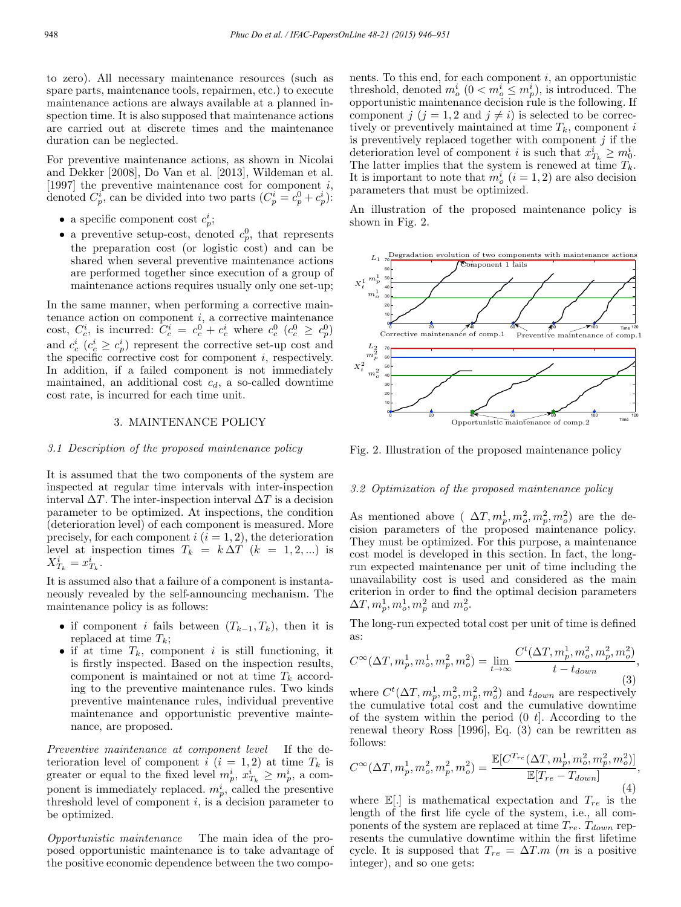to zero). All necessary maintenance resources (such as spare parts, maintenance tools, repairmen, etc.) to execute maintenance actions are always available at a planned inspection time. It is also supposed that maintenance actions are carried out at discrete times and the maintenance duration can be neglected.

For preventive maintenance actions, as shown in Nicolai and Dekker [2008], Do Van et al. [2013], Wildeman et al. [1997] the preventive maintenance cost for component  $i$ , denoted  $C_p^i$ , can be divided into two parts  $(C_p^i = c_p^0 + c_p^i)$ :

- a specific component cost  $c_p^i$ ;
- a preventive setup-cost, denoted  $c_p^0$ , that represents the preparation cost (or logistic cost) and can be shared when several preventive maintenance actions are performed together since execution of a group of maintenance actions requires usually only one set-up;

In the same manner, when performing a corrective maintenance action on component  $i$ , a corrective maintenance cost,  $C_c^i$ , is incurred:  $C_c^i = c_c^0 + c_c^i$  where  $c_c^0$   $(c_c^0 \geq c_p^0)$ and  $c_c^i$   $(c_c^i \geq c_p^i)$  represent the corrective set-up cost and the specific corrective cost for component i, respectively. In addition, if a failed component is not immediately maintained, an additional cost  $c_d$ , a so-called downtime cost rate, is incurred for each time unit.

### 3. MAINTENANCE POLICY

# 3.1 Description of the proposed maintenance policy

It is assumed that the two components of the system are inspected at regular time intervals with inter-inspection interval  $\Delta T$ . The inter-inspection interval  $\Delta T$  is a decision parameter to be optimized. At inspections, the condition (deterioration level) of each component is measured. More precisely, for each component  $i$   $(i = 1, 2)$ , the deterioration level at inspection times  $T_k = k \Delta T$  ( $k = 1, 2, ...$ ) is  $X^i_{T_k} = x^i_{T_k}.$ 

It is assumed also that a failure of a component is instantaneously revealed by the self-announcing mechanism. The maintenance policy is as follows:

- if component *i* fails between  $(T_{k-1}, T_k)$ , then it is replaced at time  $T_k$ ;
- if at time  $T_k$ , component i is still functioning, it is firstly inspected. Based on the inspection results, component is maintained or not at time  $T_k$  according to the preventive maintenance rules. Two kinds preventive maintenance rules, individual preventive maintenance and opportunistic preventive maintenance, are proposed.

Preventive maintenance at component level If the deterioration level of component  $i$   $(i = 1, 2)$  at time  $T_k$  is greater or equal to the fixed level  $m_p^i, x_{T_k}^i \geq m_p^i$ , a component is immediately replaced.  $m_p^i$ , called the presentive threshold level of component  $i$ , is a decision parameter to be optimized.

Opportunistic maintenance The main idea of the proposed opportunistic maintenance is to take advantage of the positive economic dependence between the two components. To this end, for each component  $i$ , an opportunistic threshold, denoted  $m_o^i$   $(0 < m_o^i \le m_p^i)$ , is introduced. The opportunistic maintenance decision rule is the following. If component j  $(j = 1, 2 \text{ and } j \neq i)$  is selected to be correctively or preventively maintained at time  $T_k$ , component i is preventively replaced together with component  $j$  if the deterioration level of component *i* is such that  $x_{T_k}^i \geq m_0^i$ . The latter implies that the system is renewed at time  $T_k$ . It is important to note that  $m_o^i$   $(i = 1, 2)$  are also decision parameters that must be optimized.

An illustration of the proposed maintenance policy is shown in Fig. 2.



Fig. 2. Illustration of the proposed maintenance policy

### 3.2 Optimization of the proposed maintenance policy

As mentioned above  $(\Delta T, m_p^1, m_o^2, m_p^2, m_o^2)$  are the decision parameters of the proposed maintenance policy. They must be optimized. For this purpose, a maintenance cost model is developed in this section. In fact, the longrun expected maintenance per unit of time including the unavailability cost is used and considered as the main criterion in order to find the optimal decision parameters  $\Delta T, m_p^1, m_o^1, m_p^2$  and  $m_o^2$ .

The long-run expected total cost per unit of time is defined as:

$$
C^{\infty}(\Delta T, m_p^1, m_o^1, m_p^2, m_o^2) = \lim_{t \to \infty} \frac{C^t(\Delta T, m_p^1, m_o^2, m_p^2, m_o^2)}{t - t_{down}},
$$
\n(3)

where  $C^{t}(\Delta T, m_{p}^{1}, m_{o}^{2}, m_{p}^{2}, m_{o}^{2})$  and  $t_{down}$  are respectively the cumulative total cost and the cumulative downtime of the system within the period  $(0 t]$ . According to the renewal theory Ross [1996], Eq. (3) can be rewritten as follows:

$$
C^{\infty}(\Delta T, m_p^1, m_o^2, m_p^2, m_o^2) = \frac{\mathbb{E}[C^{T_{re}}(\Delta T, m_p^1, m_o^2, m_p^2, m_o^2)]}{\mathbb{E}[T_{re} - T_{down}]} ,
$$
\n(4)

where  $\mathbb{E}[\cdot]$  is mathematical expectation and  $T_{re}$  is the length of the first life cycle of the system, i.e., all components of the system are replaced at time  $T_{re}$ .  $T_{down}$  represents the cumulative downtime within the first lifetime cycle. It is supposed that  $T_{re} = \Delta T.m$  (*m* is a positive integer), and so one gets: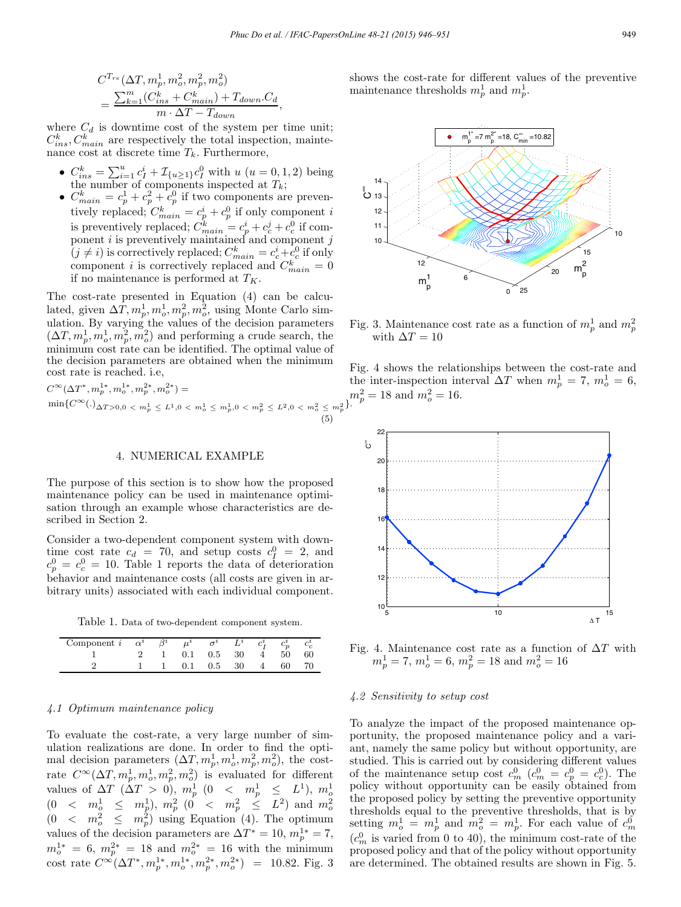$$
C^{T_{re}}(\Delta T, m_p^1, m_o^2, m_p^2, m_o^2)
$$
  
= 
$$
\frac{\sum_{k=1}^{m} (C_{ins}^k + C_{main}^k) + T_{down}C_d}{m \cdot \Delta T - T_{down}},
$$

where  $C_d$  is downtime cost of the system per time unit;  $C_{ins}^k, C_{main}^k$  are respectively the total inspection, maintenance cost at discrete time  $T_k$ . Furthermore,

- $C_{ins}^k = \sum_{i=1}^u c_i^i + \mathcal{I}_{\{u \ge 1\}} c_I^0$  with  $u (u = 0, 1, 2)$  being the number of components inspected at  $T_k$ ;
- $C_{main}^k = c_p^1 + c_p^2 + c_p^0$  if two components are preventively replaced;  $C_{main}^k = c_p^i + c_p^0$  if only component *i* is preventively replaced;  $C_{main}^k = c_p^i + c_c^j + c_c^0$  if component  $i$  is preventively maintained and component  $j$  $(j \neq i)$  is correctively replaced;  $C_{main}^k = c_c^i + c_c^0$  if only component *i* is correctively replaced and  $C_{main}^k = 0$ if no maintenance is performed at  $T_K$ .

The cost-rate presented in Equation (4) can be calculated, given  $\Delta T$ ,  $m_p^1, m_o^1, m_p^2, m_o^2$ , using Monte Carlo simulation. By varying the values of the decision parameters  $(\Delta T, m_p^1, m_o^1, m_p^2, m_o^2)$  and performing a crude search, the minimum cost rate can be identified. The optimal value of the decision parameters are obtained when the minimum cost rate is reached. i.e,

$$
C^{\infty}(\Delta T^*, m_p^{1*}, m_o^{1*}, m_p^{2*}, m_o^{2*}) =
$$
  
\n
$$
\min \{ C^{\infty}(.)\Delta T > 0, 0 < m_p^{1} \le L^1, 0 < m_o^{1} \le m_p^{1}, 0 < m_p^{2} \le L^2, 0 < m_o^{2} \le m_p^{2} \}.
$$
\n
$$
(5)
$$

#### 4. NUMERICAL EXAMPLE

The purpose of this section is to show how the proposed maintenance policy can be used in maintenance optimisation through an example whose characteristics are described in Section 2.

Consider a two-dependent component system with downtime cost rate  $c_d = 70$ , and setup costs  $c_l^0 = 2$ , and  $c_p^0 = c_c^0 = 10$ . Table 1 reports the data of deterioration behavior and maintenance costs (all costs are given in arbitrary units) associated with each individual component.

Table 1. Data of two-dependent component system.

| Component $i \alpha^i \beta^i \mu^i \sigma^i L^i c^i_L c^i$ |  |                        |  |  |
|-------------------------------------------------------------|--|------------------------|--|--|
|                                                             |  | 2 1 0.1 0.5 30 4 50 60 |  |  |
|                                                             |  | 1 0.1 0.5 30 4 60 70   |  |  |

### 4.1 Optimum maintenance policy

To evaluate the cost-rate, a very large number of simulation realizations are done. In order to find the optimal decision parameters  $(\Delta T, m_p^1, m_o^1, m_p^2, m_o^2)$ , the costrate  $C^{\infty}(\Delta T, m_p^1, m_o^1, m_p^2, m_o^2)$  is evaluated for different values of  $\Delta T$  ( $\Delta T > 0$ ),  $m_p^1$  ( $0 < m_p^1 \leq L^1$ ),  $m_o^1$ <br>
(0 <  $m_o^1 \leq m_p^1$ ),  $m_p^2$  (0 <  $m_p^2 \leq L^2$ ) and  $m_o^2$ <br>
(0 <  $m_o^2 \leq m_p^2$ ) using Equation (4). The optimum values of the decision parameters are  $\Delta T^* = 10$ ,  $m_p^{1*} = 7$ ,  $m_o^{1*} = 6$ ,  $m_p^{2*} = 18$  and  $m_o^{2*} = 16$  with the minimum cost rate  $C^{\infty}(\Delta T^*, m_p^{1*}, m_o^{1*}, m_p^{2*}, m_o^{2*})$  = 10.82. Fig. 3 shows the cost-rate for different values of the preventive maintenance thresholds  $m_p^1$  and  $m_p^1$ .



Fig. 3. Maintenance cost rate as a function of  $m_p^1$  and  $m_p^2$ with  $\Delta T = 10$ 

Fig. 4 shows the relationships between the cost-rate and the inter-inspection interval  $\Delta T$  when  $m_p^1 = 7$ ,  $m_o^1 = 6$ ,  $m_p^2 = 18$  and  $m_o^2 = 16$ .



Fig. 4. Maintenance cost rate as a function of  $\Delta T$  with  $m_p^1 = 7, m_o^1 = 6, m_p^2 = 18$  and  $m_o^2 = 16$ 

# 4.2 Sensitivity to setup cost

To analyze the impact of the proposed maintenance opportunity, the proposed maintenance policy and a variant, namely the same policy but without opportunity, are studied. This is carried out by considering different values of the maintenance setup cost  $c_m^0$   $(c_m^0 = c_p^0 = c_c^0)$ . The policy without opportunity can be easily obtained from the proposed policy by setting the preventive opportunity thresholds equal to the preventive thresholds, that is by setting  $m_o^1 = m_p^1$  and  $m_o^2 = m_p^1$ . For each value of  $c_m^0$  $(c_m^0)$  is varied from 0 to 40), the minimum cost-rate of the proposed policy and that of the policy without opportunity are determined. The obtained results are shown in Fig. 5.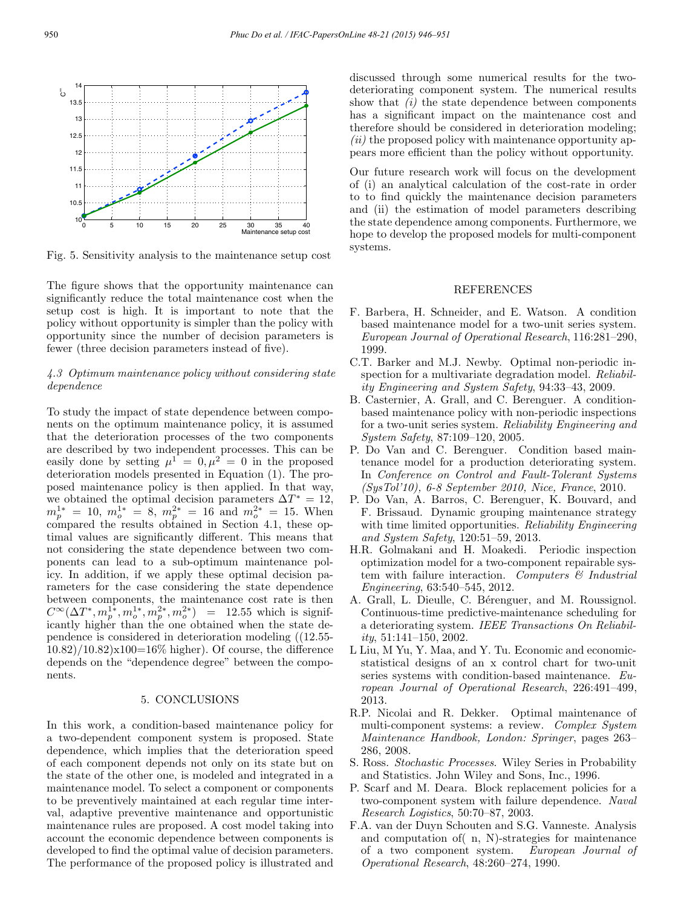

Fig. 5. Sensitivity analysis to the maintenance setup cost

The figure shows that the opportunity maintenance can significantly reduce the total maintenance cost when the setup cost is high. It is important to note that the policy without opportunity is simpler than the policy with opportunity since the number of decision parameters is fewer (three decision parameters instead of five).

# 4.3 Optimum maintenance policy without considering state dependence

To study the impact of state dependence between components on the optimum maintenance policy, it is assumed that the deterioration processes of the two components are described by two independent processes. This can be easily done by setting  $\mu^1 = 0, \mu^2 = 0$  in the proposed deterioration models presented in Equation (1). The proposed maintenance policy is then applied. In that way, we obtained the optimal decision parameters  $\Delta T^* = 12$ ,  $m_p^{1*} = 10, m_o^{1*} = 8, m_p^{2*} = 16$  and  $m_o^{2*} = 15$ . When compared the results obtained in Section 4.1, these optimal values are significantly different. This means that not considering the state dependence between two components can lead to a sub-optimum maintenance policy. In addition, if we apply these optimal decision parameters for the case considering the state dependence between components, the maintenance cost rate is then  $C^{\infty}(\Delta T^*, m_p^{1*}, m_o^{1*}, m_p^{2*}, m_o^{2*}) = 12.55$  which is significantly higher than the one obtained when the state dependence is considered in deterioration modeling ((12.55-  $10.82)/10.82$  $x100=16%$  higher). Of course, the difference depends on the "dependence degree" between the components.

#### 5. CONCLUSIONS

In this work, a condition-based maintenance policy for a two-dependent component system is proposed. State dependence, which implies that the deterioration speed of each component depends not only on its state but on the state of the other one, is modeled and integrated in a maintenance model. To select a component or components to be preventively maintained at each regular time interval, adaptive preventive maintenance and opportunistic maintenance rules are proposed. A cost model taking into account the economic dependence between components is developed to find the optimal value of decision parameters. The performance of the proposed policy is illustrated and

discussed through some numerical results for the twodeteriorating component system. The numerical results show that  $(i)$  the state dependence between components has a significant impact on the maintenance cost and therefore should be considered in deterioration modeling;  $(ii)$  the proposed policy with maintenance opportunity appears more efficient than the policy without opportunity.

Our future research work will focus on the development of (i) an analytical calculation of the cost-rate in order to to find quickly the maintenance decision parameters and (ii) the estimation of model parameters describing the state dependence among components. Furthermore, we hope to develop the proposed models for multi-component systems.

## REFERENCES

- F. Barbera, H. Schneider, and E. Watson. A condition based maintenance model for a two-unit series system. European Journal of Operational Research, 116:281–290, 1999.
- C.T. Barker and M.J. Newby. Optimal non-periodic inspection for a multivariate degradation model. Reliability Engineering and System Safety, 94:33–43, 2009.
- B. Casternier, A. Grall, and C. Berenguer. A conditionbased maintenance policy with non-periodic inspections for a two-unit series system. Reliability Engineering and System Safety, 87:109–120, 2005.
- P. Do Van and C. Berenguer. Condition based maintenance model for a production deteriorating system. In Conference on Control and Fault-Tolerant Systems (SysTol'10), 6-8 September 2010, Nice, France, 2010.
- P. Do Van, A. Barros, C. Berenguer, K. Bouvard, and F. Brissaud. Dynamic grouping maintenance strategy with time limited opportunities. Reliability Engineering and System Safety, 120:51–59, 2013.
- H.R. Golmakani and H. Moakedi. Periodic inspection optimization model for a two-component repairable system with failure interaction. Computers  $\mathcal C$  Industrial Engineering, 63:540–545, 2012.
- A. Grall, L. Dieulle, C. Bérenguer, and M. Roussignol. Continuous-time predictive-maintenance scheduling for a deteriorating system. IEEE Transactions On Reliability, 51:141–150, 2002.
- L Liu, M Yu, Y. Maa, and Y. Tu. Economic and economicstatistical designs of an x control chart for two-unit series systems with condition-based maintenance. European Journal of Operational Research, 226:491–499, 2013.
- R.P. Nicolai and R. Dekker. Optimal maintenance of multi-component systems: a review. Complex System Maintenance Handbook, London: Springer, pages 263– 286, 2008.
- S. Ross. Stochastic Processes. Wiley Series in Probability and Statistics. John Wiley and Sons, Inc., 1996.
- P. Scarf and M. Deara. Block replacement policies for a two-component system with failure dependence. Naval Research Logistics, 50:70–87, 2003.
- F.A. van der Duyn Schouten and S.G. Vanneste. Analysis and computation of( n, N)-strategies for maintenance of a two component system. European Journal of Operational Research, 48:260–274, 1990.